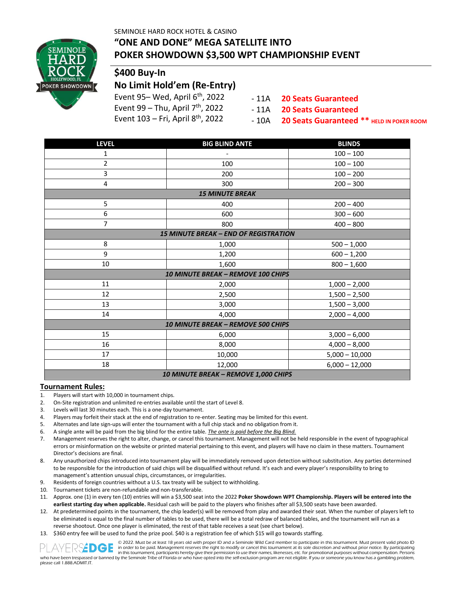SEMINOLE HARD ROCK HOTEL & CASINO



### **"ONE AND DONE" MEGA SATELLITE INTO POKER SHOWDOWN \$3,500 WPT CHAMPIONSHIP EVENT**

# **\$400 Buy-In**

## **No Limit Hold'em (Re-Entry)**

- Event 95- Wed, April 6<sup>th</sup>, 2022
- Event 99 Thu, April  $7<sup>th</sup>$ , 2022
- Event  $103$  Fri, April  $8<sup>th</sup>$ , 2022
- 11A **20 Seats Guaranteed**

- 11A **20 Seats Guaranteed**

 $-10A$ **20 Seats Guaranteed \*\* HELD IN POKER ROOM**

| <b>LEVEL</b>                                 | <b>BIG BLIND ANTE</b> | <b>BLINDS</b>    |  |  |  |  |  |  |
|----------------------------------------------|-----------------------|------------------|--|--|--|--|--|--|
| $\mathbf{1}$                                 | $100 - 100$           |                  |  |  |  |  |  |  |
| $\overline{2}$                               | 100                   | $100 - 100$      |  |  |  |  |  |  |
| 3                                            | 200                   | $100 - 200$      |  |  |  |  |  |  |
| 4                                            | 300                   | $200 - 300$      |  |  |  |  |  |  |
| <b>15 MINUTE BREAK</b>                       |                       |                  |  |  |  |  |  |  |
| 5                                            | 400                   | $200 - 400$      |  |  |  |  |  |  |
| 6                                            | 600                   | $300 - 600$      |  |  |  |  |  |  |
| $\overline{7}$                               | 800                   | $400 - 800$      |  |  |  |  |  |  |
| <b>15 MINUTE BREAK - END OF REGISTRATION</b> |                       |                  |  |  |  |  |  |  |
| 8                                            | 1,000                 | $500 - 1,000$    |  |  |  |  |  |  |
| 9                                            | 1,200                 | $600 - 1,200$    |  |  |  |  |  |  |
| 10                                           | 1,600                 | $800 - 1,600$    |  |  |  |  |  |  |
| <b>10 MINUTE BREAK - REMOVE 100 CHIPS</b>    |                       |                  |  |  |  |  |  |  |
| 11                                           | 2,000                 | $1,000 - 2,000$  |  |  |  |  |  |  |
| 12                                           | 2,500                 | $1,500 - 2,500$  |  |  |  |  |  |  |
| 13                                           | 3,000                 | $1,500 - 3,000$  |  |  |  |  |  |  |
| 14                                           | 4,000                 | $2,000 - 4,000$  |  |  |  |  |  |  |
| <b>10 MINUTE BREAK - REMOVE 500 CHIPS</b>    |                       |                  |  |  |  |  |  |  |
| 15                                           | 6,000                 | $3,000 - 6,000$  |  |  |  |  |  |  |
| 16                                           | 8,000                 | $4,000 - 8,000$  |  |  |  |  |  |  |
| 17                                           | 10,000                | $5,000 - 10,000$ |  |  |  |  |  |  |
| 18                                           | 12,000                | $6,000 - 12,000$ |  |  |  |  |  |  |
| 10 MINUTE BREAK - REMOVE 1,000 CHIPS         |                       |                  |  |  |  |  |  |  |

#### **Tournament Rules:**

- 1. Players will start with 10,000 in tournament chips.
- 2. On-Site registration and unlimited re-entries available until the start of Level 8.
- 3. Levels will last 30 minutes each. This is a one-day tournament.
- 4. Players may forfeit their stack at the end of registration to re-enter. Seating may be limited for this event.<br>5. Alternates and late sign-uns will enter the tournament with a full chin stack and no obligation from it
- 5. Alternates and late sign-ups will enter the tournament with a full chip stack and no obligation from it.
- 6. A single ante will be paid from the big blind for the entire table. *The ante is paid before the Big Blind.*
- 7. Management reserves the right to alter, change, or cancel this tournament. Management will not be held responsible in the event of typographical errors or misinformation on the website or printed material pertaining to this event, and players will have no claim in these matters. Tournament Director's decisions are final.
- 8. Any unauthorized chips introduced into tournament play will be immediately removed upon detection without substitution. Any parties determined to be responsible for the introduction of said chips will be disqualified without refund. It's each and every player's responsibility to bring to management's attention unusual chips, circumstances, or irregularities.
- 9. Residents of foreign countries without a U.S. tax treaty will be subject to withholding.
- 10. Tournament tickets are non-refundable and non-transferable.
- 11. Approx. one (1) in every ten (10) entries will win a \$3,500 seat into the 2022 **Poker Showdown WPT Championship. Players will be entered into the**  earliest starting day when applicable. Residual cash will be paid to the players who finishes after all \$3,500 seats have been awarded.
- 12. At predetermined points in the tournament, the chip leader(s) will be removed from play and awarded their seat. When the number of players left to be eliminated is equal to the final number of tables to be used, there will be a total redraw of balanced tables, and the tournament will run as a reverse shootout. Once one player is eliminated, the rest of that table receives a seat (see chart below).
- 13. \$360 entry fee will be used to fund the prize pool. \$40 is a registration fee of which \$15 will go towards staffing.



© 2022. Must be at least 18 years old with proper ID and a Seminole Wild Card member to participate in this tournament. Must present valid photo ID in order to be paid. Management reserves the right to modify or cancel this tournament at its sole discretion and without prior notice. By participating in this tournament, participants hereby give their permission to use their names, likenesses, etc. for promotional purposes without compensation. Persons who have been trespassed or banned by the Seminole Tribe of Florida or who have opted into the self-exclusion program are not eligible. If you or someone you know has a gambling problem,

please call 1.888.ADMIT.IT.